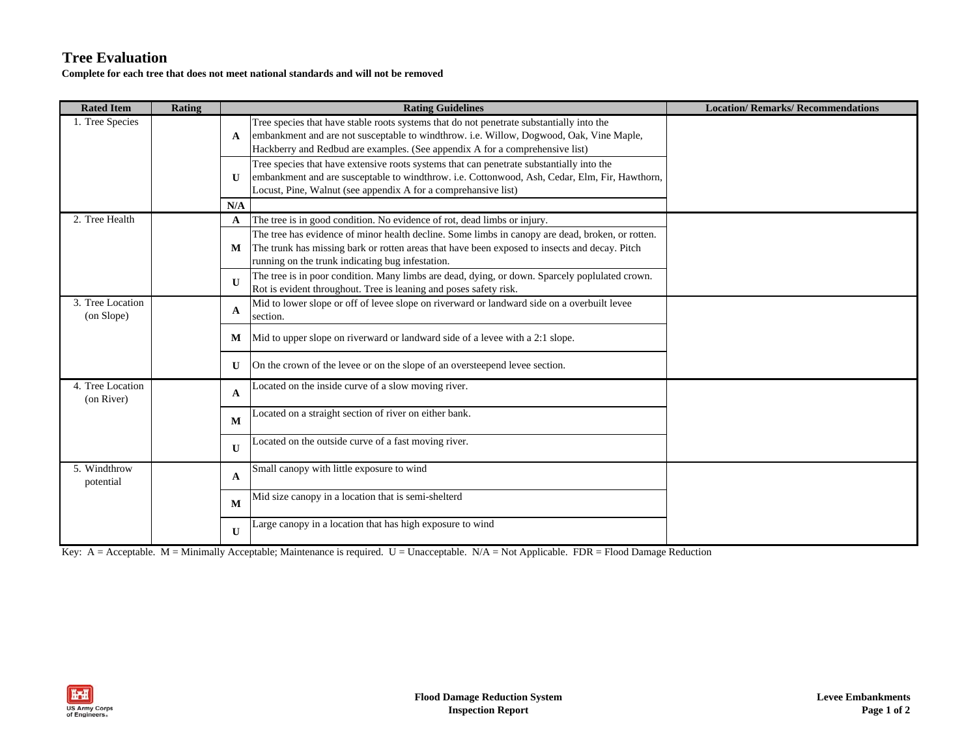## **Tree Evaluation**

**Complete for each tree that does not meet national standards and will not be removed**

| <b>Rated Item</b>              | Rating |              | <b>Rating Guidelines</b>                                                                                                                                                                                                                                            | <b>Location/Remarks/Recommendations</b> |
|--------------------------------|--------|--------------|---------------------------------------------------------------------------------------------------------------------------------------------------------------------------------------------------------------------------------------------------------------------|-----------------------------------------|
| 1. Tree Species                |        | A            | Tree species that have stable roots systems that do not penetrate substantially into the<br>embankment and are not susceptable to windthrow. i.e. Willow, Dogwood, Oak, Vine Maple,<br>Hackberry and Redbud are examples. (See appendix A for a comprehensive list) |                                         |
|                                |        | U            | Tree species that have extensive roots systems that can penetrate substantially into the<br>embankment and are susceptable to windthrow. i.e. Cottonwood, Ash, Cedar, Elm, Fir, Hawthorn,<br>Locust, Pine, Walnut (see appendix A for a comprehansive list)         |                                         |
|                                |        | N/A          |                                                                                                                                                                                                                                                                     |                                         |
| 2. Tree Health                 |        | A            | The tree is in good condition. No evidence of rot, dead limbs or injury.                                                                                                                                                                                            |                                         |
|                                |        | M            | The tree has evidence of minor health decline. Some limbs in canopy are dead, broken, or rotten.<br>The trunk has missing bark or rotten areas that have been exposed to insects and decay. Pitch<br>running on the trunk indicating bug infestation.               |                                         |
|                                |        | $\mathbf{U}$ | The tree is in poor condition. Many limbs are dead, dying, or down. Sparcely poplulated crown.<br>Rot is evident throughout. Tree is leaning and poses safety risk.                                                                                                 |                                         |
| 3. Tree Location<br>(on Slope) |        | A            | Mid to lower slope or off of levee slope on riverward or landward side on a overbuilt levee<br>section.                                                                                                                                                             |                                         |
|                                |        | М            | Mid to upper slope on riverward or landward side of a levee with a 2:1 slope.                                                                                                                                                                                       |                                         |
|                                |        | U            | On the crown of the levee or on the slope of an oversteepend levee section.                                                                                                                                                                                         |                                         |
| 4. Tree Location<br>(on River) |        | A            | Located on the inside curve of a slow moving river.                                                                                                                                                                                                                 |                                         |
|                                |        | M            | Located on a straight section of river on either bank.                                                                                                                                                                                                              |                                         |
|                                |        | $\mathbf{U}$ | Located on the outside curve of a fast moving river.                                                                                                                                                                                                                |                                         |
| 5. Windthrow<br>potential      |        | A            | Small canopy with little exposure to wind                                                                                                                                                                                                                           |                                         |
|                                |        | M            | Mid size canopy in a location that is semi-shelterd                                                                                                                                                                                                                 |                                         |
|                                |        | $\mathbf{U}$ | Large canopy in a location that has high exposure to wind                                                                                                                                                                                                           |                                         |

Key: A = Acceptable. M = Minimally Acceptable; Maintenance is required. U = Unacceptable. N/A = Not Applicable. FDR = Flood Damage Reduction